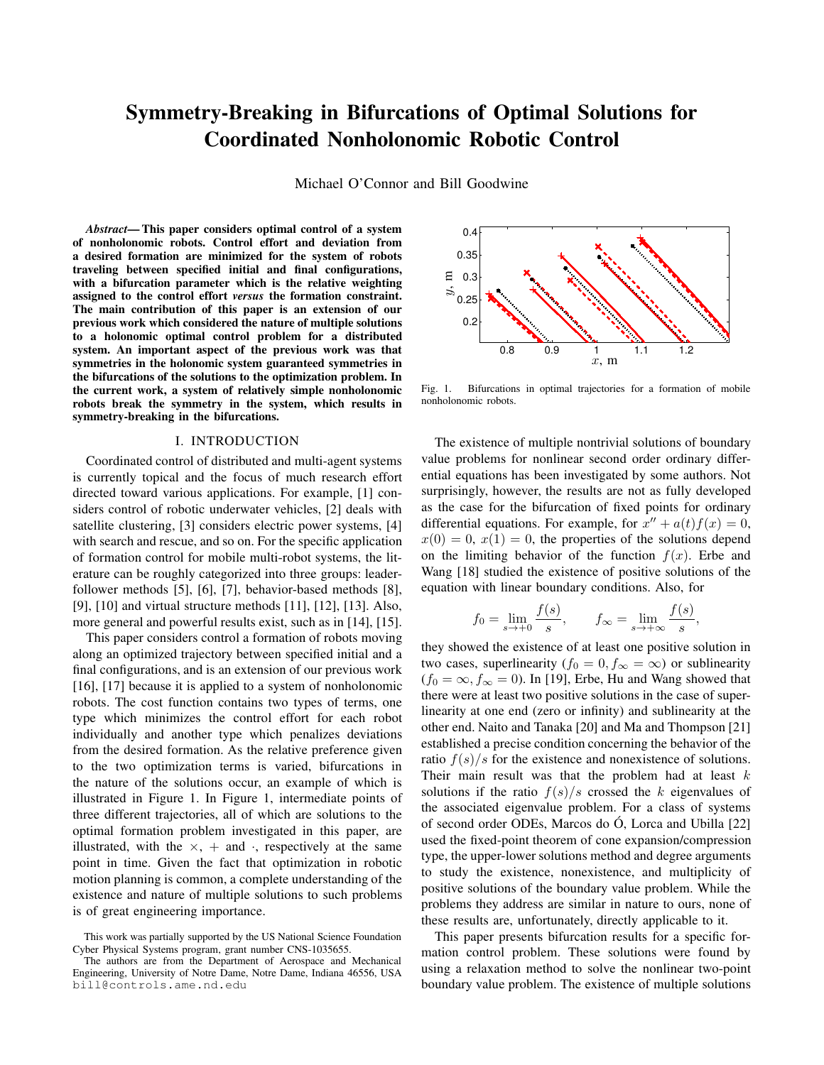# **Symmetry-Breaking in Bifurcations of Optimal Solutions for Coordinated Nonholonomic Robotic Control**

Michael O'Connor and Bill Goodwine

*Abstract***— This paper considers optimal control of a system of nonholonomic robots. Control effort and deviation from a desired formation are minimized for the system of robots traveling between specified initial and final configurations, with a bifurcation parameter which is the relative weighting assigned to the control effort** *versus* **the formation constraint. The main contribution of this paper is an extension of our previous work which considered the nature of multiple solutions to a holonomic optimal control problem for a distributed system. An important aspect of the previous work was that symmetries in the holonomic system guaranteed symmetries in the bifurcations of the solutions to the optimization problem. In the current work, a system of relatively simple nonholonomic robots break the symmetry in the system, which results in symmetry-breaking in the bifurcations.**

## I. INTRODUCTION

Coordinated control of distributed and multi-agent systems is currently topical and the focus of much research effort directed toward various applications. For example, [1] considers control of robotic underwater vehicles, [2] deals with satellite clustering, [3] considers electric power systems, [4] with search and rescue, and so on. For the specific application of formation control for mobile multi-robot systems, the literature can be roughly categorized into three groups: leaderfollower methods [5], [6], [7], behavior-based methods [8], [9], [10] and virtual structure methods [11], [12], [13]. Also, more general and powerful results exist, such as in [14], [15].

This paper considers control a formation of robots moving along an optimized trajectory between specified initial and a final configurations, and is an extension of our previous work [16], [17] because it is applied to a system of nonholonomic robots. The cost function contains two types of terms, one type which minimizes the control effort for each robot individually and another type which penalizes deviations from the desired formation. As the relative preference given to the two optimization terms is varied, bifurcations in the nature of the solutions occur, an example of which is illustrated in Figure 1. In Figure 1, intermediate points of three different trajectories, all of which are solutions to the optimal formation problem investigated in this paper, are illustrated, with the  $\times$ , + and  $\cdot$ , respectively at the same point in time. Given the fact that optimization in robotic motion planning is common, a complete understanding of the existence and nature of multiple solutions to such problems is of great engineering importance.



Fig. 1. Bifurcations in optimal trajectories for a formation of mobile nonholonomic robots.

The existence of multiple nontrivial solutions of boundary value problems for nonlinear second order ordinary differential equations has been investigated by some authors. Not surprisingly, however, the results are not as fully developed as the case for the bifurcation of fixed points for ordinary differential equations. For example, for  $x'' + a(t)f(x) = 0$ ,  $x(0) = 0, x(1) = 0$ , the properties of the solutions depend on the limiting behavior of the function  $f(x)$ . Erbe and Wang [18] studied the existence of positive solutions of the equation with linear boundary conditions. Also, for

$$
f_0 = \lim_{s \to +0} \frac{f(s)}{s}, \qquad f_\infty = \lim_{s \to +\infty} \frac{f(s)}{s},
$$

they showed the existence of at least one positive solution in two cases, superlinearity ( $f_0 = 0, f_{\infty} = \infty$ ) or sublinearity  $(f_0 = \infty, f_\infty = 0)$ . In [19], Erbe, Hu and Wang showed that there were at least two positive solutions in the case of superlinearity at one end (zero or infinity) and sublinearity at the other end. Naito and Tanaka [20] and Ma and Thompson [21] established a precise condition concerning the behavior of the ratio  $f(s)/s$  for the existence and nonexistence of solutions. Their main result was that the problem had at least  $k$ solutions if the ratio  $f(s)/s$  crossed the k eigenvalues of the associated eigenvalue problem. For a class of systems of second order ODEs, Marcos do  $\acute{O}$ , Lorca and Ubilla [22] used the fixed-point theorem of cone expansion/compression type, the upper-lower solutions method and degree arguments to study the existence, nonexistence, and multiplicity of positive solutions of the boundary value problem. While the problems they address are similar in nature to ours, none of these results are, unfortunately, directly applicable to it.

This paper presents bifurcation results for a specific formation control problem. These solutions were found by using a relaxation method to solve the nonlinear two-point boundary value problem. The existence of multiple solutions

This work was partially supported by the US National Science Foundation Cyber Physical Systems program, grant number CNS-1035655.

The authors are from the Department of Aerospace and Mechanical Engineering, University of Notre Dame, Notre Dame, Indiana 46556, USA bill@controls.ame.nd.edu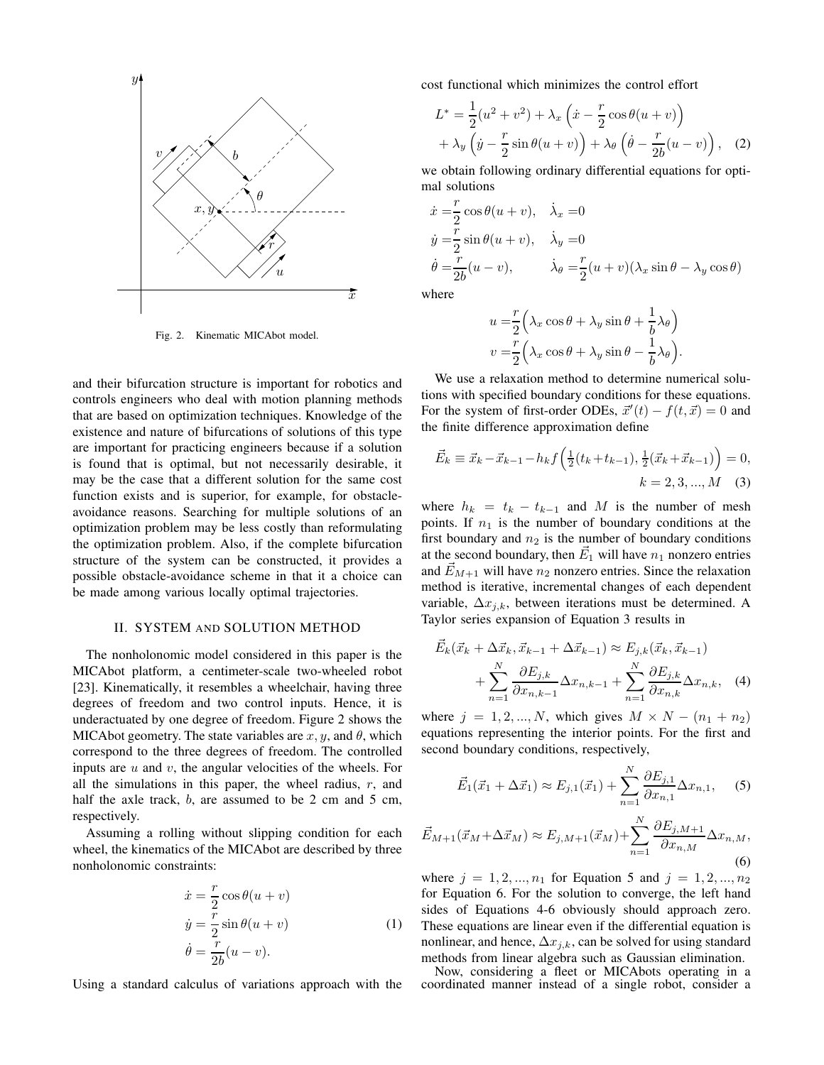

Fig. 2. Kinematic MICAbot model.

and their bifurcation structure is important for robotics and controls engineers who deal with motion planning methods that are based on optimization techniques. Knowledge of the existence and nature of bifurcations of solutions of this type are important for practicing engineers because if a solution is found that is optimal, but not necessarily desirable, it may be the case that a different solution for the same cost function exists and is superior, for example, for obstacleavoidance reasons. Searching for multiple solutions of an optimization problem may be less costly than reformulating the optimization problem. Also, if the complete bifurcation structure of the system can be constructed, it provides a possible obstacle-avoidance scheme in that it a choice can be made among various locally optimal trajectories.

### II. SYSTEM AND SOLUTION METHOD

The nonholonomic model considered in this paper is the MICAbot platform, a centimeter-scale two-wheeled robot [23]. Kinematically, it resembles a wheelchair, having three degrees of freedom and two control inputs. Hence, it is underactuated by one degree of freedom. Figure 2 shows the MICAbot geometry. The state variables are  $x, y$ , and  $\theta$ , which correspond to the three degrees of freedom. The controlled inputs are  $u$  and  $v$ , the angular velocities of the wheels. For all the simulations in this paper, the wheel radius,  $r$ , and half the axle track, b, are assumed to be 2 cm and 5 cm, respectively.

Assuming a rolling without slipping condition for each wheel, the kinematics of the MICAbot are described by three nonholonomic constraints:

$$
\begin{aligned}\n\dot{x} &= \frac{r}{2}\cos\theta(u+v) \\
\dot{y} &= \frac{r}{2}\sin\theta(u+v) \\
\dot{\theta} &= \frac{r}{2b}(u-v).\n\end{aligned} \tag{1}
$$

Using a standard calculus of variations approach with the

cost functional which minimizes the control effort

$$
L^* = \frac{1}{2}(u^2 + v^2) + \lambda_x \left(\dot{x} - \frac{r}{2}\cos\theta(u+v)\right) + \lambda_y \left(\dot{y} - \frac{r}{2}\sin\theta(u+v)\right) + \lambda_\theta \left(\dot{\theta} - \frac{r}{2b}(u-v)\right), \quad (2)
$$

we obtain following ordinary differential equations for optimal solutions

$$
\dot{x} = \frac{r}{2} \cos \theta (u + v), \quad \dot{\lambda}_x = 0
$$
  
\n
$$
\dot{y} = \frac{r}{2} \sin \theta (u + v), \quad \dot{\lambda}_y = 0
$$
  
\n
$$
\dot{\theta} = \frac{r}{2b} (u - v), \qquad \dot{\lambda}_\theta = \frac{r}{2} (u + v) (\lambda_x \sin \theta - \lambda_y \cos \theta)
$$

where

$$
u = \frac{r}{2} \left( \lambda_x \cos \theta + \lambda_y \sin \theta + \frac{1}{b} \lambda_\theta \right)
$$
  

$$
v = \frac{r}{2} \left( \lambda_x \cos \theta + \lambda_y \sin \theta - \frac{1}{b} \lambda_\theta \right).
$$

We use a relaxation method to determine numerical solutions with specified boundary conditions for these equations. For the system of first-order ODEs,  $\vec{x}'(t) - f(t, \vec{x}) = 0$  and the finite difference approximation define

$$
\vec{E}_k \equiv \vec{x}_k - \vec{x}_{k-1} - h_k f\left(\frac{1}{2}(t_k + t_{k-1}), \frac{1}{2}(\vec{x}_k + \vec{x}_{k-1})\right) = 0,
$$
  

$$
k = 2, 3, ..., M
$$
 (3)

where  $h_k = t_k - t_{k-1}$  and M is the number of mesh points. If  $n_1$  is the number of boundary conditions at the first boundary and  $n_2$  is the number of boundary conditions at the second boundary, then  $\vec{E}_1$  will have  $n_1$  nonzero entries and  $\vec{E}_{M+1}$  will have  $n_2$  nonzero entries. Since the relaxation method is iterative, incremental changes of each dependent variable,  $\Delta x_{i,k}$ , between iterations must be determined. A Taylor series expansion of Equation 3 results in

$$
\vec{E}_k(\vec{x}_k + \Delta \vec{x}_k, \vec{x}_{k-1} + \Delta \vec{x}_{k-1}) \approx E_{j,k}(\vec{x}_k, \vec{x}_{k-1}) + \sum_{n=1}^N \frac{\partial E_{j,k}}{\partial x_{n,k-1}} \Delta x_{n,k-1} + \sum_{n=1}^N \frac{\partial E_{j,k}}{\partial x_{n,k}} \Delta x_{n,k}, \quad (4)
$$

where  $j = 1, 2, ..., N$ , which gives  $M \times N - (n_1 + n_2)$ equations representing the interior points. For the first and second boundary conditions, respectively,

$$
\vec{E}_1(\vec{x}_1 + \Delta \vec{x}_1) \approx E_{j,1}(\vec{x}_1) + \sum_{n=1}^{N} \frac{\partial E_{j,1}}{\partial x_{n,1}} \Delta x_{n,1}, \quad (5)
$$

$$
\vec{E}_{M+1}(\vec{x}_M + \Delta \vec{x}_M) \approx E_{j,M+1}(\vec{x}_M) + \sum_{n=1}^N \frac{\partial E_{j,M+1}}{\partial x_{n,M}} \Delta x_{n,M},
$$
\n(6)

where  $j = 1, 2, ..., n_1$  for Equation 5 and  $j = 1, 2, ..., n_2$ for Equation 6. For the solution to converge, the left hand sides of Equations 4-6 obviously should approach zero. These equations are linear even if the differential equation is nonlinear, and hence,  $\Delta x_{j,k}$ , can be solved for using standard methods from linear algebra such as Gaussian elimination.

Now, considering a fleet or MICAbots operating in a coordinated manner instead of a single robot, consider a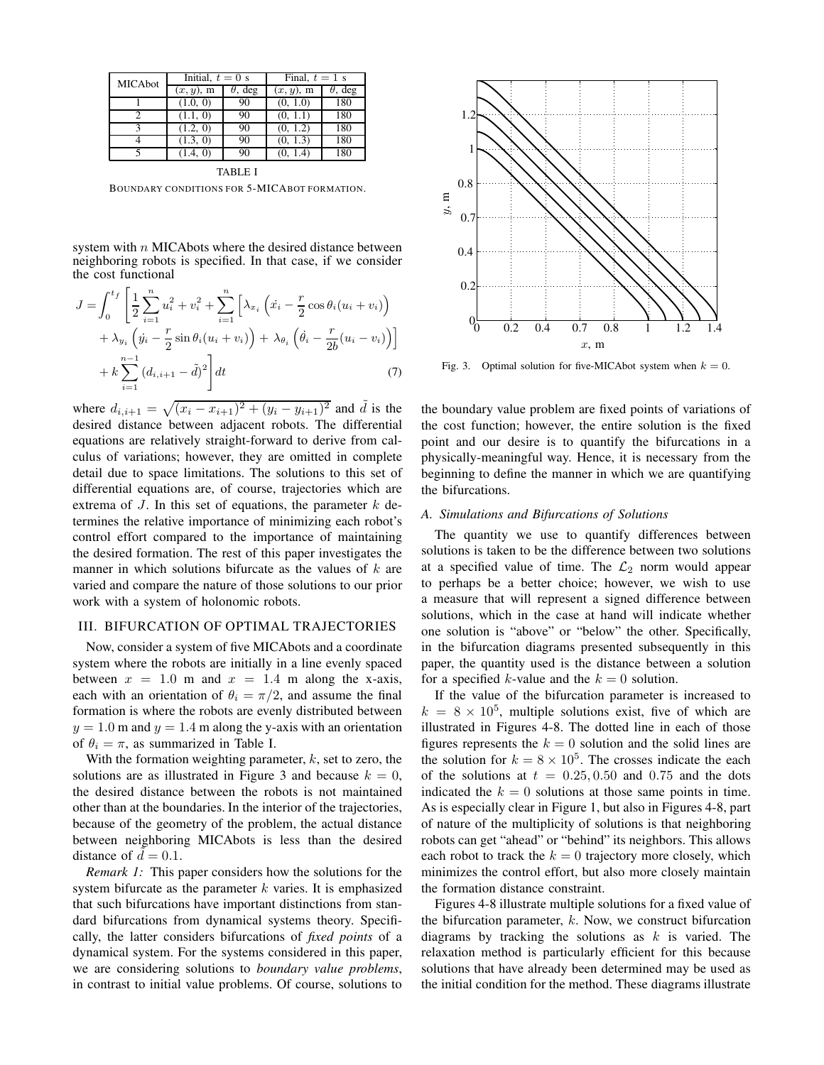| MICAbot      | Initial, $t = 0$ s |                | Final, $t = 1$ s |                |
|--------------|--------------------|----------------|------------------|----------------|
|              | $(x, y)$ , m       | $\theta$ , deg | $(x, y)$ , m     | $\theta$ , deg |
|              | (1.0, 0)           | 90             | (0, 1.0)         | 180            |
| 2            | (1.1, 0)           | 90             | (0, 1.1)         | 180            |
| $\mathbf{a}$ | (1.2, 0)           | 90             | (0, 1.2)         | 180            |
|              | (1.3, 0)           | 90             | (0, 1.3)         | 180            |
|              | (1.4, 0)           | 90             | (0, 1.4)         | 180            |
| TARI F I     |                    |                |                  |                |

BOUNDARY CONDITIONS FOR 5-MICABOT FORMATION.

system with  $n$  MICAbots where the desired distance between neighboring robots is specified. In that case, if we consider the cost functional

$$
J = \int_0^{t_f} \left[ \frac{1}{2} \sum_{i=1}^n u_i^2 + v_i^2 + \sum_{i=1}^n \left[ \lambda_{x_i} \left( \dot{x}_i - \frac{r}{2} \cos \theta_i (u_i + v_i) \right) + \lambda_{y_i} \left( \dot{y}_i - \frac{r}{2} \sin \theta_i (u_i + v_i) \right) + \lambda_{\theta_i} \left( \dot{\theta}_i - \frac{r}{2b} (u_i - v_i) \right) \right] + k \sum_{i=1}^{n-1} \left( d_{i,i+1} - \tilde{d} \right)^2 \right] dt
$$
 (7)

where  $d_{i,i+1} = \sqrt{(x_i - x_{i+1})^2 + (y_i - y_{i+1})^2}$  and  $\tilde{d}$  is the desired distance between adjacent robots. The differential equations are relatively straight-forward to derive from calculus of variations; however, they are omitted in complete detail due to space limitations. The solutions to this set of differential equations are, of course, trajectories which are extrema of  $J$ . In this set of equations, the parameter  $k$  determines the relative importance of minimizing each robot's control effort compared to the importance of maintaining the desired formation. The rest of this paper investigates the manner in which solutions bifurcate as the values of  $k$  are varied and compare the nature of those solutions to our prior work with a system of holonomic robots.

# III. BIFURCATION OF OPTIMAL TRAJECTORIES

Now, consider a system of five MICAbots and a coordinate system where the robots are initially in a line evenly spaced between  $x = 1.0$  m and  $x = 1.4$  m along the x-axis, each with an orientation of  $\theta_i = \pi/2$ , and assume the final formation is where the robots are evenly distributed between  $y = 1.0$  m and  $y = 1.4$  m along the y-axis with an orientation of  $\theta_i = \pi$ , as summarized in Table I.

With the formation weighting parameter,  $k$ , set to zero, the solutions are as illustrated in Figure 3 and because  $k = 0$ , the desired distance between the robots is not maintained other than at the boundaries. In the interior of the trajectories, because of the geometry of the problem, the actual distance between neighboring MICAbots is less than the desired distance of  $d = 0.1$ .

*Remark 1:* This paper considers how the solutions for the system bifurcate as the parameter  $k$  varies. It is emphasized that such bifurcations have important distinctions from standard bifurcations from dynamical systems theory. Specifically, the latter considers bifurcations of *fixed points* of a dynamical system. For the systems considered in this paper, we are considering solutions to *boundary value problems*, in contrast to initial value problems. Of course, solutions to



Fig. 3. Optimal solution for five-MICAbot system when  $k = 0$ .

the boundary value problem are fixed points of variations of the cost function; however, the entire solution is the fixed point and our desire is to quantify the bifurcations in a physically-meaningful way. Hence, it is necessary from the beginning to define the manner in which we are quantifying the bifurcations.

## *A. Simulations and Bifurcations of Solutions*

The quantity we use to quantify differences between solutions is taken to be the difference between two solutions at a specified value of time. The  $\mathcal{L}_2$  norm would appear to perhaps be a better choice; however, we wish to use a measure that will represent a signed difference between solutions, which in the case at hand will indicate whether one solution is "above" or "below" the other. Specifically, in the bifurcation diagrams presented subsequently in this paper, the quantity used is the distance between a solution for a specified k-value and the  $k = 0$  solution.

If the value of the bifurcation parameter is increased to  $k = 8 \times 10^5$ , multiple solutions exist, five of which are illustrated in Figures 4-8. The dotted line in each of those figures represents the  $k = 0$  solution and the solid lines are the solution for  $k = 8 \times 10^5$ . The crosses indicate the each of the solutions at  $t = 0.25, 0.50$  and 0.75 and the dots indicated the  $k = 0$  solutions at those same points in time. As is especially clear in Figure 1, but also in Figures 4-8, part of nature of the multiplicity of solutions is that neighboring robots can get "ahead" or "behind" its neighbors. This allows each robot to track the  $k = 0$  trajectory more closely, which minimizes the control effort, but also more closely maintain the formation distance constraint.

Figures 4-8 illustrate multiple solutions for a fixed value of the bifurcation parameter,  $k$ . Now, we construct bifurcation diagrams by tracking the solutions as  $k$  is varied. The relaxation method is particularly efficient for this because solutions that have already been determined may be used as the initial condition for the method. These diagrams illustrate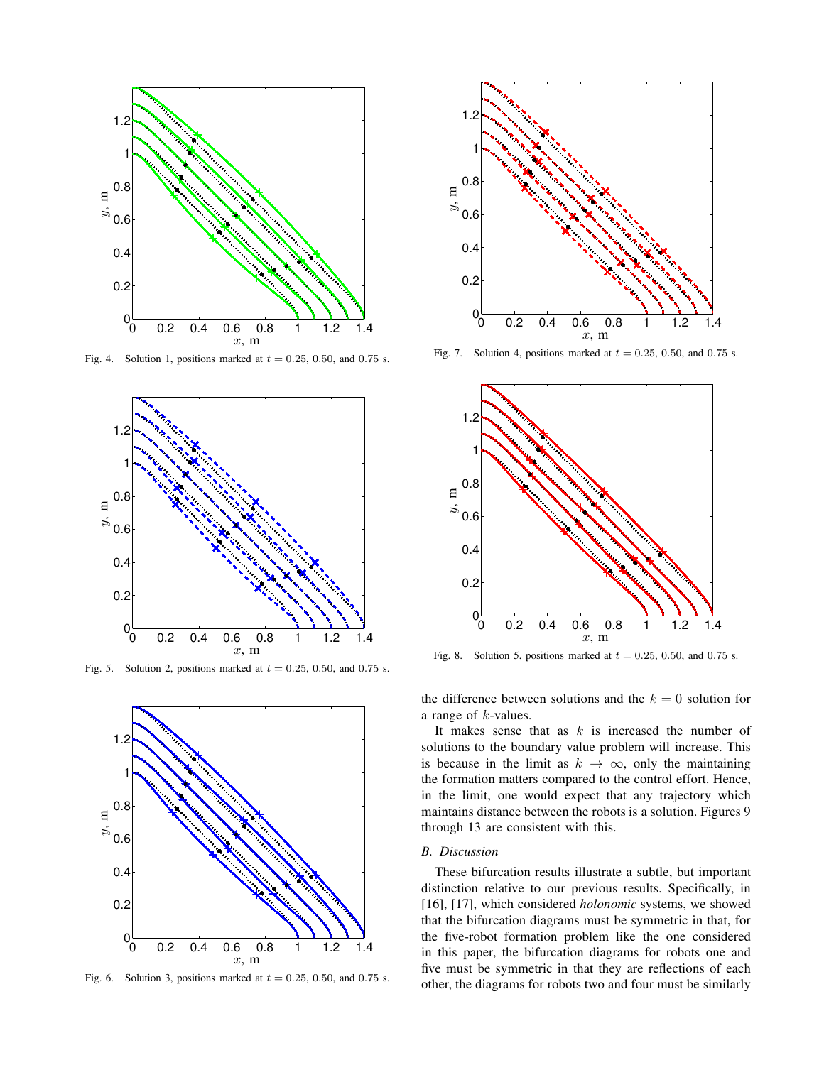

Fig. 4. Solution 1, positions marked at  $t = 0.25, 0.50,$  and 0.75 s.



Fig. 5. Solution 2, positions marked at  $t = 0.25, 0.50,$  and 0.75 s.



Fig. 6. Solution 3, positions marked at  $t = 0.25, 0.50$ , and 0.75 s.



Fig. 7. Solution 4, positions marked at  $t = 0.25, 0.50,$  and 0.75 s.



Fig. 8. Solution 5, positions marked at  $t = 0.25, 0.50,$  and 0.75 s.

the difference between solutions and the  $k = 0$  solution for a range of k-values.

It makes sense that as  $k$  is increased the number of solutions to the boundary value problem will increase. This is because in the limit as  $k \to \infty$ , only the maintaining the formation matters compared to the control effort. Hence, in the limit, one would expect that any trajectory which maintains distance between the robots is a solution. Figures 9 through 13 are consistent with this.

# *B. Discussion*

These bifurcation results illustrate a subtle, but important distinction relative to our previous results. Specifically, in [16], [17], which considered *holonomic* systems, we showed that the bifurcation diagrams must be symmetric in that, for the five-robot formation problem like the one considered in this paper, the bifurcation diagrams for robots one and five must be symmetric in that they are reflections of each other, the diagrams for robots two and four must be similarly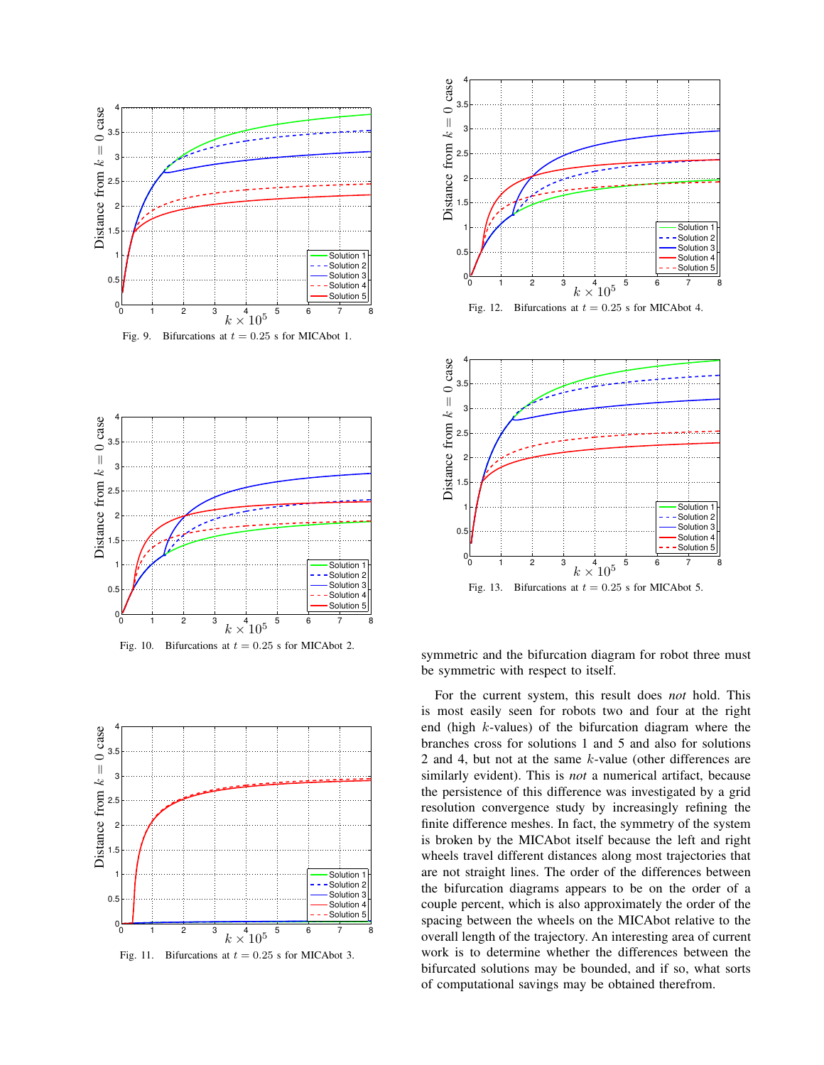

Fig. 9. Bifurcations at  $t = 0.25$  s for MICAbot 1.









symmetric and the bifurcation diagram for robot three must be symmetric with respect to itself.

For the current system, this result does *not* hold. This is most easily seen for robots two and four at the right end (high k-values) of the bifurcation diagram where the branches cross for solutions 1 and 5 and also for solutions 2 and 4, but not at the same k-value (other differences are similarly evident). This is *not* a numerical artifact, because the persistence of this difference was investigated by a grid resolution convergence study by increasingly refining the finite difference meshes. In fact, the symmetry of the system is broken by the MICAbot itself because the left and right wheels travel different distances along most trajectories that are not straight lines. The order of the differences between the bifurcation diagrams appears to be on the order of a couple percent, which is also approximately the order of the spacing between the wheels on the MICAbot relative to the overall length of the trajectory. An interesting area of current work is to determine whether the differences between the bifurcated solutions may be bounded, and if so, what sorts of computational savings may be obtained therefrom.